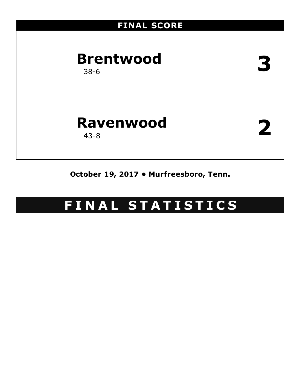# **FINAL SCORE Brentwood** 38-6 **3 Ravenwood** 43-8 **2**

**October 19, 2017 • Murfreesboro, Tenn.**

# **F I N A L S T A T I S T I C S**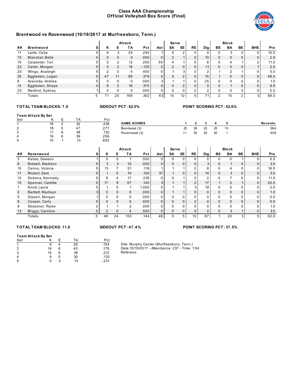### **Class AAA Championship Official Volleyball Box Score (Final)**



### **Brentwood vs Ravenwood (10/19/2017 at Murfreesboro, Tenn.)**

|    |                  |   |          |    | Attack   |            |                | Serve |                 |              |                 |          | <b>Block</b>  |    |            |            |
|----|------------------|---|----------|----|----------|------------|----------------|-------|-----------------|--------------|-----------------|----------|---------------|----|------------|------------|
| ## | <b>Brentwood</b> |   | ĸ        |    | ΤA       | <b>Pct</b> | Ast            | SΑ    | <b>SE</b>       | <b>RE</b>    | <b>Dig</b>      | BS       | BA            | BE | <b>BHE</b> | <b>Pts</b> |
| 11 | Lamb, Celia      |   | 9        |    | 25       | .240       |                |       | $\overline{2}$  |              |                 |          | 3             |    |            | 10.5       |
| 13 | Blanchet, Bella  |   | $\Omega$ |    | $\Omega$ | .000       | 0              | C     |                 | $\Omega$     | 10 <sup>1</sup> | $\Omega$ | $\mathbf{0}$  |    | $\Omega$   | 2.0        |
| 15 | Carpenter, Tori  |   |          | ົ  | 12       | .250       | 55             |       |                 | $\Omega$     | ี               | $\Omega$ | 4             |    | $\Omega$   | 11.0       |
| 22 | Carter, Morgan   |   | $\Omega$ | っ  | 16       | $-.125$    | $\overline{2}$ | C     | $\overline{0}$  | 5            | 11              | $\Omega$ | $\mathbf 0$   |    |            | 2.0        |
| 25 | Wingo, Analeigh  |   | ົ        |    | 5        | .400       | 0              |       | 3               | $\Omega$     | ົ               |          | $\mathcal{D}$ |    |            | 5.0        |
| 33 | Eggleston, Logan | 5 | 47       |    | 95       | .379       | $\overline{2}$ |       | $\overline{2}$  | $\Omega$     | 15              |          | $\Omega$      |    | 0          | 48.0       |
| 6  | Aceveda, Andrea  |   | $\Omega$ |    | 0        | .000       | 3              |       |                 | $\Omega$     | 25              | O        | $\Omega$      |    | U          | 1.0        |
| 14 | Eggleston, Shaye |   | 8        | C  | 16       | .375       | 0              |       | $\overline{2}$  | $\Omega$     | $\Omega$        | $\Omega$ |               |    | 0          | 8.5        |
| 23 | Rexford, Sydney  |   | $\Omega$ |    | 0        | .000       | 0              |       | 0               | <sup>0</sup> | ົ               |          |               |    |            | 0.0        |
|    | Totals           | 5 |          | 20 | 169      | .302       | 63             | 10    | 12 <sub>1</sub> | 5            |                 |          | 10            |    | 3          | 88.0       |

### **TOT AL TEAM BLOCKS: 7.0 SIDEOUT PCT: 62.5% POINT SCORING PCT: 52.6%**

# **Team Attack By Set**

| Team Attack By Set |    |    |      |                    |    |    |    |    |    |          |
|--------------------|----|----|------|--------------------|----|----|----|----|----|----------|
| Set                |    |    | Pct  |                    |    |    |    |    |    |          |
|                    | 16 | 32 | .438 | <b>GAME SCORES</b> |    |    |    |    |    | Records: |
| $\sim$             | 18 | 47 | .277 | Brentwood (3)      | 25 | 28 | 22 | 25 | 15 | $38-6$   |
| J                  |    | 38 | .132 | Ravenwood (2)      |    | 30 | 25 | 20 |    | $43 - 8$ |
|                    | 16 | 39 | .256 |                    |    |    |    |    |    |          |
| 5                  | 10 |    | .692 |                    |    |    |    |    |    |          |

|                   |                       |                |    | <b>Attack</b> |            |                | <b>Serve</b> |                |                 |                 |              | <b>Block</b> |          |            |            |
|-------------------|-----------------------|----------------|----|---------------|------------|----------------|--------------|----------------|-----------------|-----------------|--------------|--------------|----------|------------|------------|
| ##                | s<br>Ravenwood        | Κ              | Е  | ΤA            | <b>Pct</b> | Ast            | <b>SA</b>    | SE             | RE              | Dig             | BS.          | BA           | BE       | <b>BHE</b> | <b>Pts</b> |
| 3                 | Kelsie, Dawson        | 0              |    |               | .000       | 0              | ი            | $\Omega$       | 0               |                 | $\Omega$     | $\Omega$     |          |            | 0.0        |
| 6                 | Bidwell, Madison      | 3              | 3  | 10            | .000       | $\mathbf{0}$   | 0            | $\overline{0}$ | $\Omega$        | 3               | $\mathbf 0$  |              | $\Omega$ |            | 3.5        |
| 10                | Cerino, Victoria      | 13             |    | 51            | .118       |                |              |                | ົ               | 8               | $\Omega$     | 4            | 0        |            | 16.0       |
| 11                | Rickert, Sam          |                |    | 10            | .100       | 37             |              | 0              | $\Omega$        | 14              | $\mathbf 0$  | 3            | $\Omega$ | 5          | 3.5        |
| $12 \overline{ }$ | Dickens, Kennedy      | 8              |    | 17            | .235       | $\Omega$       |              |                |                 | ີ               | $\Omega$     |              | 0        |            | 11.5       |
| 15                | 5<br>Spencer, Camille | 17             | 9  | 57            | .140       | 3 <sub>l</sub> |              |                | C               | 17              |              | 2            |          | $\Omega$   | 20.0       |
|                   | Knott, Laura          |                | U  |               | 1.000      | 5              |              |                | 3               | 19 <sub>1</sub> | $\Omega$     | $\Omega$     | 0        |            | 2.0        |
| 2                 | Bartlett, Madisyn     | $\Omega$       |    | $\Omega$      | 000.       | $\mathbf{0}$   |              |                | $\Omega$        | $\Omega$        | $\Omega$     | $\Omega$     | $\Omega$ | $\Omega$   | 1.0        |
| 5                 | Gipson, Morgan        | 0              |    | 0             | .000       | 0              |              | $\Omega$       | 0               |                 | $\Omega$     | $\Omega$     | 0        |            | 0.0        |
| 8                 | Cooper, Carly<br>5    | $\Omega$       |    | $\Omega$      | 000.       | 0              | $\Omega$     | $\mathbf{0}$   | $\Omega$        |                 | $\Omega$     | $\Omega$     | $\Omega$ | $\Omega$   | 0.0        |
| 9                 | Strassner, Rylee      |                |    | 2             | .000       | U              |              | 0              |                 |                 | $\mathbf{0}$ | $\Omega$     | 0        |            | 1.0        |
| 13                | Briggs, Caroline<br>5 | $\mathfrak{p}$ |    | 4             | .500       | $\Omega$       | 0            | $\Omega$       | $\Omega$        | $\Omega$        | $\Omega$     | 3            |          | $\Omega$   | 3.5        |
|                   | 5<br>Totals           | 46             | 24 | 153           | .144       | 46             | 5            | 5              | 10 <sub>1</sub> | 67              |              | 20           | 3        | 5          | 62.0       |

### **TOT AL TEAM BLOCKS: 11.0 SIDEOUT PCT: 47.4% POINT SCORING PCT: 37.5%**

# **Team Attack By Set** Set K E TA Pct

| $\mathbf{1}$ | 8  |   | 26 | .154    |
|--------------|----|---|----|---------|
| 2            | 14 | 6 | 45 | .178    |
| 3            | 15 | 6 | 39 | .231    |
| 4            | 9  | 5 | 30 | .133    |
| 5            | O  | ঽ | 13 | $-.231$ |

Site: Murphy Center (Murfreesboro, Tenn.)

Date:10/19/2017 - Attendance: 237 - Time: 1:54

Referees: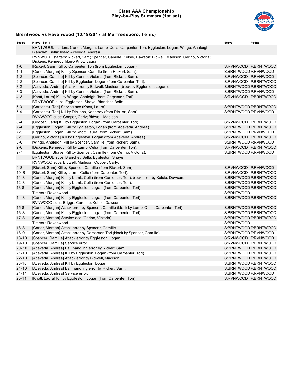### **Class AAA Championship Play-by-Play Summary (1st set)**



| BRNTWOOD starters: Carter, Morgan; Lamb, Celia; Carpenter, Tori; Eggleston, Logan; Wingo, Analeigh;<br>Blanchet, Bella; libero Aceveda, Andrea.<br>RVNWOOD starters: Rickert, Sam; Spencer, Camille; Kelsie, Dawson; Bidwell, Madison; Cerino, Victoria;<br>Dickens, Kennedy; libero Knott, Laura.<br>[Rickert, Sam] Kill by Carpenter, Tori (from Eggleston, Logan).<br>S:RVNWOOD P:BRNTWOOD<br>[Carter, Morgan] Kill by Spencer, Camille (from Rickert, Sam).<br>S:BRNTWOOD P:RVNWOOD<br>[Spencer, Camille] Kill by Cerino, Victoria (from Rickert, Sam).<br>S:RVNWOOD P:RVNWOOD<br>S:RVNWOOD P:BRNTWOOD<br>[Spencer, Camille] Kill by Eggleston, Logan (from Carpenter, Tori).<br>[Aceveda, Andrea] Attack error by Bidwell, Madison (block by Eggleston, Logan).<br>S:BRNTWOOD P:BRNTWOOD<br>[Aceveda, Andrea] Kill by Cerino, Victoria (from Rickert, Sam).<br>S:BRNTWOOD P:RVNWOOD<br>S:RVNWOOD P:BRNTWOOD<br>[Knott, Laura] Kill by Wingo, Analeigh (from Carpenter, Tori).<br>BRNTWOOD subs: Eggleston, Shaye; Blanchet, Bella.<br>[Carpenter, Tori] Service ace (Knott, Laura).<br>S:BRNTWOOD P:BRNTWOOD<br>[Carpenter, Tori] Kill by Dickens, Kennedy (from Rickert, Sam).<br>S:BRNTWOOD P:RVNWOOD<br>RVNWOOD subs: Cooper, Carly; Bidwell, Madison.<br>S:RVNWOOD P:BRNTWOOD<br>$6 - 4$<br>[Cooper, Carly] Kill by Eggleston, Logan (from Carpenter, Tori).<br>$7 - 4$<br>[Eggleston, Logan] Kill by Eggleston, Logan (from Aceveda, Andrea).<br>S:BRNTWOOD P:BRNTWOOD<br>$7 - 5$<br>S:BRNTWOOD P:RVNWOOD<br>[Eggleston, Logan] Kill by Knott, Laura (from Rickert, Sam).<br>[Cerino, Victoria] Kill by Eggleston, Logan (from Aceveda, Andrea).<br>S:RVNWOOD P:BRNTWOOD<br>$8 - 5$<br>S:BRNTWOOD P:RVNWOOD<br>$8 - 6$<br>[Wingo, Analeigh] Kill by Spencer, Camille (from Rickert, Sam).<br>$9 - 6$<br>[Dickens, Kennedy] Kill by Lamb, Celia (from Carpenter, Tori).<br>S:RVNWOOD P:BRNTWOOD<br>S:BRNTWOOD P:RVNWOOD<br>$9 - 7$<br>[Eggleston, Shaye] Kill by Spencer, Camille (from Cerino, Victoria).<br>BRNTWOOD subs: Blanchet, Bella; Eggleston, Shaye.<br>RVNWOOD subs: Bidwell, Madison; Cooper, Carly.<br>$9 - 8$<br>S:RVNWOOD P:RVNWOOD<br>[Rickert, Sam] Kill by Spencer, Camille (from Rickert, Sam).<br>[Rickert, Sam] Kill by Lamb, Celia (from Carpenter, Tori).<br>S:RVNWOOD P:BRNTWOOD<br>$10 - 8$<br>$11 - 8$<br>S:BRNTWOOD P:BRNTWOOD<br>[Carter, Morgan] Kill by Lamb, Celia (from Carpenter, Tori), block error by Kelsie, Dawson.<br>$12 - 8$<br>[Carter, Morgan] Kill by Lamb, Celia (from Carpenter, Tori).<br>S:BRNTWOOD P.BRNTWOOD<br>[Carter, Morgan] Kill by Eggleston, Logan (from Carpenter, Tori).<br>S:BRNTWOOD P:BRNTWOOD<br>$13 - 8$<br>S:BRNTWOOD<br>Timeout Ravenwood.<br>S:BRNTWOOD P:BRNTWOOD<br>$14 - 8$<br>[Carter, Morgan] Kill by Eggleston, Logan (from Carpenter, Tori).<br>RVNWOOD subs: Briggs, Caroline; Kelsie, Dawson.<br>[Carter, Morgan] Attack error by Spencer, Camille (block by Lamb, Celia; Carpenter, Tori).<br>S:BRNTWOOD P:BRNTWOOD<br>$15 - 8$<br>$16 - 8$<br>[Carter, Morgan] Kill by Eggleston, Logan (from Carpenter, Tori).<br>S:BRNTWOOD P:BRNTWOOD<br>[Carter, Morgan] Service ace (Cerino, Victoria).<br>S:BRNTWOOD P:BRNTWOOD<br>$17 - 8$<br>Timeout Ravenwood.<br>S:BRNTWOOD<br>$18 - 8$<br>S:BRNTWOOD P:BRNTWOOD<br>[Carter, Morgan] Attack error by Spencer, Camille.<br>[Carter, Morgan] Attack error by Carpenter, Tori (block by Spencer, Camille).<br>$18-9$<br>S:BRNTWOOD P:RVNWOOD<br>$18 - 10$<br>[Spencer, Camille] Attack error by Eggleston, Logan.<br>S:RVNWOOD P:RVNWOOD<br>$19 - 10$<br>[Spencer, Camille] Service error.<br>S:RVNWOOD P:BRNTWOOD<br>$20 - 10$<br>[Aceveda, Andrea] Ball handling error by Rickert, Sam.<br>S:BRNTWOOD P:BRNTWOOD<br>$21 - 10$<br>[Aceveda, Andrea] Kill by Eggleston, Logan (from Carpenter, Tori).<br>S:BRNTWOOD P:BRNTWOOD<br>$22 - 10$<br>[Aceveda, Andrea] Attack error by Bidwell, Madison.<br>S:BRNTWOOD P:BRNTWOOD<br>$23 - 10$<br>S:BRNTWOOD P:BRNTWOOD<br>[Aceveda, Andrea] Kill by Eggleston, Logan.<br>$24 - 10$<br>S:BRNTWOOD P:BRNTWOOD<br>[Aceveda, Andrea] Ball handling error by Rickert, Sam.<br>S:BRNTWOOD P:RVNWOOD<br>$24 - 11$<br>[Aceveda, Andrea] Service error. | Score     | Plays: Set 1 | <b>Serve</b> | Point |
|-------------------------------------------------------------------------------------------------------------------------------------------------------------------------------------------------------------------------------------------------------------------------------------------------------------------------------------------------------------------------------------------------------------------------------------------------------------------------------------------------------------------------------------------------------------------------------------------------------------------------------------------------------------------------------------------------------------------------------------------------------------------------------------------------------------------------------------------------------------------------------------------------------------------------------------------------------------------------------------------------------------------------------------------------------------------------------------------------------------------------------------------------------------------------------------------------------------------------------------------------------------------------------------------------------------------------------------------------------------------------------------------------------------------------------------------------------------------------------------------------------------------------------------------------------------------------------------------------------------------------------------------------------------------------------------------------------------------------------------------------------------------------------------------------------------------------------------------------------------------------------------------------------------------------------------------------------------------------------------------------------------------------------------------------------------------------------------------------------------------------------------------------------------------------------------------------------------------------------------------------------------------------------------------------------------------------------------------------------------------------------------------------------------------------------------------------------------------------------------------------------------------------------------------------------------------------------------------------------------------------------------------------------------------------------------------------------------------------------------------------------------------------------------------------------------------------------------------------------------------------------------------------------------------------------------------------------------------------------------------------------------------------------------------------------------------------------------------------------------------------------------------------------------------------------------------------------------------------------------------------------------------------------------------------------------------------------------------------------------------------------------------------------------------------------------------------------------------------------------------------------------------------------------------------------------------------------------------------------------------------------------------------------------------------------------------------------------------------------------------------------------------------------------------------------------------------------------------------------------------------------------------------------------------------------------------------------------------------------------------------------------------------------------------------------------------------------------------------------------------------------------------------------------------------------------------------------------------------|-----------|--------------|--------------|-------|
|                                                                                                                                                                                                                                                                                                                                                                                                                                                                                                                                                                                                                                                                                                                                                                                                                                                                                                                                                                                                                                                                                                                                                                                                                                                                                                                                                                                                                                                                                                                                                                                                                                                                                                                                                                                                                                                                                                                                                                                                                                                                                                                                                                                                                                                                                                                                                                                                                                                                                                                                                                                                                                                                                                                                                                                                                                                                                                                                                                                                                                                                                                                                                                                                                                                                                                                                                                                                                                                                                                                                                                                                                                                                                                                                                                                                                                                                                                                                                                                                                                                                                                                                                                                                                         |           |              |              |       |
|                                                                                                                                                                                                                                                                                                                                                                                                                                                                                                                                                                                                                                                                                                                                                                                                                                                                                                                                                                                                                                                                                                                                                                                                                                                                                                                                                                                                                                                                                                                                                                                                                                                                                                                                                                                                                                                                                                                                                                                                                                                                                                                                                                                                                                                                                                                                                                                                                                                                                                                                                                                                                                                                                                                                                                                                                                                                                                                                                                                                                                                                                                                                                                                                                                                                                                                                                                                                                                                                                                                                                                                                                                                                                                                                                                                                                                                                                                                                                                                                                                                                                                                                                                                                                         |           |              |              |       |
|                                                                                                                                                                                                                                                                                                                                                                                                                                                                                                                                                                                                                                                                                                                                                                                                                                                                                                                                                                                                                                                                                                                                                                                                                                                                                                                                                                                                                                                                                                                                                                                                                                                                                                                                                                                                                                                                                                                                                                                                                                                                                                                                                                                                                                                                                                                                                                                                                                                                                                                                                                                                                                                                                                                                                                                                                                                                                                                                                                                                                                                                                                                                                                                                                                                                                                                                                                                                                                                                                                                                                                                                                                                                                                                                                                                                                                                                                                                                                                                                                                                                                                                                                                                                                         | $1 - 0$   |              |              |       |
|                                                                                                                                                                                                                                                                                                                                                                                                                                                                                                                                                                                                                                                                                                                                                                                                                                                                                                                                                                                                                                                                                                                                                                                                                                                                                                                                                                                                                                                                                                                                                                                                                                                                                                                                                                                                                                                                                                                                                                                                                                                                                                                                                                                                                                                                                                                                                                                                                                                                                                                                                                                                                                                                                                                                                                                                                                                                                                                                                                                                                                                                                                                                                                                                                                                                                                                                                                                                                                                                                                                                                                                                                                                                                                                                                                                                                                                                                                                                                                                                                                                                                                                                                                                                                         | $1 - 1$   |              |              |       |
|                                                                                                                                                                                                                                                                                                                                                                                                                                                                                                                                                                                                                                                                                                                                                                                                                                                                                                                                                                                                                                                                                                                                                                                                                                                                                                                                                                                                                                                                                                                                                                                                                                                                                                                                                                                                                                                                                                                                                                                                                                                                                                                                                                                                                                                                                                                                                                                                                                                                                                                                                                                                                                                                                                                                                                                                                                                                                                                                                                                                                                                                                                                                                                                                                                                                                                                                                                                                                                                                                                                                                                                                                                                                                                                                                                                                                                                                                                                                                                                                                                                                                                                                                                                                                         | $1 - 2$   |              |              |       |
|                                                                                                                                                                                                                                                                                                                                                                                                                                                                                                                                                                                                                                                                                                                                                                                                                                                                                                                                                                                                                                                                                                                                                                                                                                                                                                                                                                                                                                                                                                                                                                                                                                                                                                                                                                                                                                                                                                                                                                                                                                                                                                                                                                                                                                                                                                                                                                                                                                                                                                                                                                                                                                                                                                                                                                                                                                                                                                                                                                                                                                                                                                                                                                                                                                                                                                                                                                                                                                                                                                                                                                                                                                                                                                                                                                                                                                                                                                                                                                                                                                                                                                                                                                                                                         | $2 - 2$   |              |              |       |
|                                                                                                                                                                                                                                                                                                                                                                                                                                                                                                                                                                                                                                                                                                                                                                                                                                                                                                                                                                                                                                                                                                                                                                                                                                                                                                                                                                                                                                                                                                                                                                                                                                                                                                                                                                                                                                                                                                                                                                                                                                                                                                                                                                                                                                                                                                                                                                                                                                                                                                                                                                                                                                                                                                                                                                                                                                                                                                                                                                                                                                                                                                                                                                                                                                                                                                                                                                                                                                                                                                                                                                                                                                                                                                                                                                                                                                                                                                                                                                                                                                                                                                                                                                                                                         | $3 - 2$   |              |              |       |
|                                                                                                                                                                                                                                                                                                                                                                                                                                                                                                                                                                                                                                                                                                                                                                                                                                                                                                                                                                                                                                                                                                                                                                                                                                                                                                                                                                                                                                                                                                                                                                                                                                                                                                                                                                                                                                                                                                                                                                                                                                                                                                                                                                                                                                                                                                                                                                                                                                                                                                                                                                                                                                                                                                                                                                                                                                                                                                                                                                                                                                                                                                                                                                                                                                                                                                                                                                                                                                                                                                                                                                                                                                                                                                                                                                                                                                                                                                                                                                                                                                                                                                                                                                                                                         | $3 - 3$   |              |              |       |
|                                                                                                                                                                                                                                                                                                                                                                                                                                                                                                                                                                                                                                                                                                                                                                                                                                                                                                                                                                                                                                                                                                                                                                                                                                                                                                                                                                                                                                                                                                                                                                                                                                                                                                                                                                                                                                                                                                                                                                                                                                                                                                                                                                                                                                                                                                                                                                                                                                                                                                                                                                                                                                                                                                                                                                                                                                                                                                                                                                                                                                                                                                                                                                                                                                                                                                                                                                                                                                                                                                                                                                                                                                                                                                                                                                                                                                                                                                                                                                                                                                                                                                                                                                                                                         | $4 - 3$   |              |              |       |
|                                                                                                                                                                                                                                                                                                                                                                                                                                                                                                                                                                                                                                                                                                                                                                                                                                                                                                                                                                                                                                                                                                                                                                                                                                                                                                                                                                                                                                                                                                                                                                                                                                                                                                                                                                                                                                                                                                                                                                                                                                                                                                                                                                                                                                                                                                                                                                                                                                                                                                                                                                                                                                                                                                                                                                                                                                                                                                                                                                                                                                                                                                                                                                                                                                                                                                                                                                                                                                                                                                                                                                                                                                                                                                                                                                                                                                                                                                                                                                                                                                                                                                                                                                                                                         |           |              |              |       |
|                                                                                                                                                                                                                                                                                                                                                                                                                                                                                                                                                                                                                                                                                                                                                                                                                                                                                                                                                                                                                                                                                                                                                                                                                                                                                                                                                                                                                                                                                                                                                                                                                                                                                                                                                                                                                                                                                                                                                                                                                                                                                                                                                                                                                                                                                                                                                                                                                                                                                                                                                                                                                                                                                                                                                                                                                                                                                                                                                                                                                                                                                                                                                                                                                                                                                                                                                                                                                                                                                                                                                                                                                                                                                                                                                                                                                                                                                                                                                                                                                                                                                                                                                                                                                         | $5 - 3$   |              |              |       |
|                                                                                                                                                                                                                                                                                                                                                                                                                                                                                                                                                                                                                                                                                                                                                                                                                                                                                                                                                                                                                                                                                                                                                                                                                                                                                                                                                                                                                                                                                                                                                                                                                                                                                                                                                                                                                                                                                                                                                                                                                                                                                                                                                                                                                                                                                                                                                                                                                                                                                                                                                                                                                                                                                                                                                                                                                                                                                                                                                                                                                                                                                                                                                                                                                                                                                                                                                                                                                                                                                                                                                                                                                                                                                                                                                                                                                                                                                                                                                                                                                                                                                                                                                                                                                         | $5 - 4$   |              |              |       |
|                                                                                                                                                                                                                                                                                                                                                                                                                                                                                                                                                                                                                                                                                                                                                                                                                                                                                                                                                                                                                                                                                                                                                                                                                                                                                                                                                                                                                                                                                                                                                                                                                                                                                                                                                                                                                                                                                                                                                                                                                                                                                                                                                                                                                                                                                                                                                                                                                                                                                                                                                                                                                                                                                                                                                                                                                                                                                                                                                                                                                                                                                                                                                                                                                                                                                                                                                                                                                                                                                                                                                                                                                                                                                                                                                                                                                                                                                                                                                                                                                                                                                                                                                                                                                         |           |              |              |       |
|                                                                                                                                                                                                                                                                                                                                                                                                                                                                                                                                                                                                                                                                                                                                                                                                                                                                                                                                                                                                                                                                                                                                                                                                                                                                                                                                                                                                                                                                                                                                                                                                                                                                                                                                                                                                                                                                                                                                                                                                                                                                                                                                                                                                                                                                                                                                                                                                                                                                                                                                                                                                                                                                                                                                                                                                                                                                                                                                                                                                                                                                                                                                                                                                                                                                                                                                                                                                                                                                                                                                                                                                                                                                                                                                                                                                                                                                                                                                                                                                                                                                                                                                                                                                                         |           |              |              |       |
|                                                                                                                                                                                                                                                                                                                                                                                                                                                                                                                                                                                                                                                                                                                                                                                                                                                                                                                                                                                                                                                                                                                                                                                                                                                                                                                                                                                                                                                                                                                                                                                                                                                                                                                                                                                                                                                                                                                                                                                                                                                                                                                                                                                                                                                                                                                                                                                                                                                                                                                                                                                                                                                                                                                                                                                                                                                                                                                                                                                                                                                                                                                                                                                                                                                                                                                                                                                                                                                                                                                                                                                                                                                                                                                                                                                                                                                                                                                                                                                                                                                                                                                                                                                                                         |           |              |              |       |
|                                                                                                                                                                                                                                                                                                                                                                                                                                                                                                                                                                                                                                                                                                                                                                                                                                                                                                                                                                                                                                                                                                                                                                                                                                                                                                                                                                                                                                                                                                                                                                                                                                                                                                                                                                                                                                                                                                                                                                                                                                                                                                                                                                                                                                                                                                                                                                                                                                                                                                                                                                                                                                                                                                                                                                                                                                                                                                                                                                                                                                                                                                                                                                                                                                                                                                                                                                                                                                                                                                                                                                                                                                                                                                                                                                                                                                                                                                                                                                                                                                                                                                                                                                                                                         |           |              |              |       |
|                                                                                                                                                                                                                                                                                                                                                                                                                                                                                                                                                                                                                                                                                                                                                                                                                                                                                                                                                                                                                                                                                                                                                                                                                                                                                                                                                                                                                                                                                                                                                                                                                                                                                                                                                                                                                                                                                                                                                                                                                                                                                                                                                                                                                                                                                                                                                                                                                                                                                                                                                                                                                                                                                                                                                                                                                                                                                                                                                                                                                                                                                                                                                                                                                                                                                                                                                                                                                                                                                                                                                                                                                                                                                                                                                                                                                                                                                                                                                                                                                                                                                                                                                                                                                         |           |              |              |       |
|                                                                                                                                                                                                                                                                                                                                                                                                                                                                                                                                                                                                                                                                                                                                                                                                                                                                                                                                                                                                                                                                                                                                                                                                                                                                                                                                                                                                                                                                                                                                                                                                                                                                                                                                                                                                                                                                                                                                                                                                                                                                                                                                                                                                                                                                                                                                                                                                                                                                                                                                                                                                                                                                                                                                                                                                                                                                                                                                                                                                                                                                                                                                                                                                                                                                                                                                                                                                                                                                                                                                                                                                                                                                                                                                                                                                                                                                                                                                                                                                                                                                                                                                                                                                                         |           |              |              |       |
|                                                                                                                                                                                                                                                                                                                                                                                                                                                                                                                                                                                                                                                                                                                                                                                                                                                                                                                                                                                                                                                                                                                                                                                                                                                                                                                                                                                                                                                                                                                                                                                                                                                                                                                                                                                                                                                                                                                                                                                                                                                                                                                                                                                                                                                                                                                                                                                                                                                                                                                                                                                                                                                                                                                                                                                                                                                                                                                                                                                                                                                                                                                                                                                                                                                                                                                                                                                                                                                                                                                                                                                                                                                                                                                                                                                                                                                                                                                                                                                                                                                                                                                                                                                                                         |           |              |              |       |
|                                                                                                                                                                                                                                                                                                                                                                                                                                                                                                                                                                                                                                                                                                                                                                                                                                                                                                                                                                                                                                                                                                                                                                                                                                                                                                                                                                                                                                                                                                                                                                                                                                                                                                                                                                                                                                                                                                                                                                                                                                                                                                                                                                                                                                                                                                                                                                                                                                                                                                                                                                                                                                                                                                                                                                                                                                                                                                                                                                                                                                                                                                                                                                                                                                                                                                                                                                                                                                                                                                                                                                                                                                                                                                                                                                                                                                                                                                                                                                                                                                                                                                                                                                                                                         |           |              |              |       |
|                                                                                                                                                                                                                                                                                                                                                                                                                                                                                                                                                                                                                                                                                                                                                                                                                                                                                                                                                                                                                                                                                                                                                                                                                                                                                                                                                                                                                                                                                                                                                                                                                                                                                                                                                                                                                                                                                                                                                                                                                                                                                                                                                                                                                                                                                                                                                                                                                                                                                                                                                                                                                                                                                                                                                                                                                                                                                                                                                                                                                                                                                                                                                                                                                                                                                                                                                                                                                                                                                                                                                                                                                                                                                                                                                                                                                                                                                                                                                                                                                                                                                                                                                                                                                         |           |              |              |       |
|                                                                                                                                                                                                                                                                                                                                                                                                                                                                                                                                                                                                                                                                                                                                                                                                                                                                                                                                                                                                                                                                                                                                                                                                                                                                                                                                                                                                                                                                                                                                                                                                                                                                                                                                                                                                                                                                                                                                                                                                                                                                                                                                                                                                                                                                                                                                                                                                                                                                                                                                                                                                                                                                                                                                                                                                                                                                                                                                                                                                                                                                                                                                                                                                                                                                                                                                                                                                                                                                                                                                                                                                                                                                                                                                                                                                                                                                                                                                                                                                                                                                                                                                                                                                                         |           |              |              |       |
|                                                                                                                                                                                                                                                                                                                                                                                                                                                                                                                                                                                                                                                                                                                                                                                                                                                                                                                                                                                                                                                                                                                                                                                                                                                                                                                                                                                                                                                                                                                                                                                                                                                                                                                                                                                                                                                                                                                                                                                                                                                                                                                                                                                                                                                                                                                                                                                                                                                                                                                                                                                                                                                                                                                                                                                                                                                                                                                                                                                                                                                                                                                                                                                                                                                                                                                                                                                                                                                                                                                                                                                                                                                                                                                                                                                                                                                                                                                                                                                                                                                                                                                                                                                                                         |           |              |              |       |
|                                                                                                                                                                                                                                                                                                                                                                                                                                                                                                                                                                                                                                                                                                                                                                                                                                                                                                                                                                                                                                                                                                                                                                                                                                                                                                                                                                                                                                                                                                                                                                                                                                                                                                                                                                                                                                                                                                                                                                                                                                                                                                                                                                                                                                                                                                                                                                                                                                                                                                                                                                                                                                                                                                                                                                                                                                                                                                                                                                                                                                                                                                                                                                                                                                                                                                                                                                                                                                                                                                                                                                                                                                                                                                                                                                                                                                                                                                                                                                                                                                                                                                                                                                                                                         |           |              |              |       |
|                                                                                                                                                                                                                                                                                                                                                                                                                                                                                                                                                                                                                                                                                                                                                                                                                                                                                                                                                                                                                                                                                                                                                                                                                                                                                                                                                                                                                                                                                                                                                                                                                                                                                                                                                                                                                                                                                                                                                                                                                                                                                                                                                                                                                                                                                                                                                                                                                                                                                                                                                                                                                                                                                                                                                                                                                                                                                                                                                                                                                                                                                                                                                                                                                                                                                                                                                                                                                                                                                                                                                                                                                                                                                                                                                                                                                                                                                                                                                                                                                                                                                                                                                                                                                         |           |              |              |       |
|                                                                                                                                                                                                                                                                                                                                                                                                                                                                                                                                                                                                                                                                                                                                                                                                                                                                                                                                                                                                                                                                                                                                                                                                                                                                                                                                                                                                                                                                                                                                                                                                                                                                                                                                                                                                                                                                                                                                                                                                                                                                                                                                                                                                                                                                                                                                                                                                                                                                                                                                                                                                                                                                                                                                                                                                                                                                                                                                                                                                                                                                                                                                                                                                                                                                                                                                                                                                                                                                                                                                                                                                                                                                                                                                                                                                                                                                                                                                                                                                                                                                                                                                                                                                                         |           |              |              |       |
|                                                                                                                                                                                                                                                                                                                                                                                                                                                                                                                                                                                                                                                                                                                                                                                                                                                                                                                                                                                                                                                                                                                                                                                                                                                                                                                                                                                                                                                                                                                                                                                                                                                                                                                                                                                                                                                                                                                                                                                                                                                                                                                                                                                                                                                                                                                                                                                                                                                                                                                                                                                                                                                                                                                                                                                                                                                                                                                                                                                                                                                                                                                                                                                                                                                                                                                                                                                                                                                                                                                                                                                                                                                                                                                                                                                                                                                                                                                                                                                                                                                                                                                                                                                                                         |           |              |              |       |
|                                                                                                                                                                                                                                                                                                                                                                                                                                                                                                                                                                                                                                                                                                                                                                                                                                                                                                                                                                                                                                                                                                                                                                                                                                                                                                                                                                                                                                                                                                                                                                                                                                                                                                                                                                                                                                                                                                                                                                                                                                                                                                                                                                                                                                                                                                                                                                                                                                                                                                                                                                                                                                                                                                                                                                                                                                                                                                                                                                                                                                                                                                                                                                                                                                                                                                                                                                                                                                                                                                                                                                                                                                                                                                                                                                                                                                                                                                                                                                                                                                                                                                                                                                                                                         |           |              |              |       |
|                                                                                                                                                                                                                                                                                                                                                                                                                                                                                                                                                                                                                                                                                                                                                                                                                                                                                                                                                                                                                                                                                                                                                                                                                                                                                                                                                                                                                                                                                                                                                                                                                                                                                                                                                                                                                                                                                                                                                                                                                                                                                                                                                                                                                                                                                                                                                                                                                                                                                                                                                                                                                                                                                                                                                                                                                                                                                                                                                                                                                                                                                                                                                                                                                                                                                                                                                                                                                                                                                                                                                                                                                                                                                                                                                                                                                                                                                                                                                                                                                                                                                                                                                                                                                         |           |              |              |       |
|                                                                                                                                                                                                                                                                                                                                                                                                                                                                                                                                                                                                                                                                                                                                                                                                                                                                                                                                                                                                                                                                                                                                                                                                                                                                                                                                                                                                                                                                                                                                                                                                                                                                                                                                                                                                                                                                                                                                                                                                                                                                                                                                                                                                                                                                                                                                                                                                                                                                                                                                                                                                                                                                                                                                                                                                                                                                                                                                                                                                                                                                                                                                                                                                                                                                                                                                                                                                                                                                                                                                                                                                                                                                                                                                                                                                                                                                                                                                                                                                                                                                                                                                                                                                                         |           |              |              |       |
|                                                                                                                                                                                                                                                                                                                                                                                                                                                                                                                                                                                                                                                                                                                                                                                                                                                                                                                                                                                                                                                                                                                                                                                                                                                                                                                                                                                                                                                                                                                                                                                                                                                                                                                                                                                                                                                                                                                                                                                                                                                                                                                                                                                                                                                                                                                                                                                                                                                                                                                                                                                                                                                                                                                                                                                                                                                                                                                                                                                                                                                                                                                                                                                                                                                                                                                                                                                                                                                                                                                                                                                                                                                                                                                                                                                                                                                                                                                                                                                                                                                                                                                                                                                                                         |           |              |              |       |
|                                                                                                                                                                                                                                                                                                                                                                                                                                                                                                                                                                                                                                                                                                                                                                                                                                                                                                                                                                                                                                                                                                                                                                                                                                                                                                                                                                                                                                                                                                                                                                                                                                                                                                                                                                                                                                                                                                                                                                                                                                                                                                                                                                                                                                                                                                                                                                                                                                                                                                                                                                                                                                                                                                                                                                                                                                                                                                                                                                                                                                                                                                                                                                                                                                                                                                                                                                                                                                                                                                                                                                                                                                                                                                                                                                                                                                                                                                                                                                                                                                                                                                                                                                                                                         |           |              |              |       |
|                                                                                                                                                                                                                                                                                                                                                                                                                                                                                                                                                                                                                                                                                                                                                                                                                                                                                                                                                                                                                                                                                                                                                                                                                                                                                                                                                                                                                                                                                                                                                                                                                                                                                                                                                                                                                                                                                                                                                                                                                                                                                                                                                                                                                                                                                                                                                                                                                                                                                                                                                                                                                                                                                                                                                                                                                                                                                                                                                                                                                                                                                                                                                                                                                                                                                                                                                                                                                                                                                                                                                                                                                                                                                                                                                                                                                                                                                                                                                                                                                                                                                                                                                                                                                         |           |              |              |       |
|                                                                                                                                                                                                                                                                                                                                                                                                                                                                                                                                                                                                                                                                                                                                                                                                                                                                                                                                                                                                                                                                                                                                                                                                                                                                                                                                                                                                                                                                                                                                                                                                                                                                                                                                                                                                                                                                                                                                                                                                                                                                                                                                                                                                                                                                                                                                                                                                                                                                                                                                                                                                                                                                                                                                                                                                                                                                                                                                                                                                                                                                                                                                                                                                                                                                                                                                                                                                                                                                                                                                                                                                                                                                                                                                                                                                                                                                                                                                                                                                                                                                                                                                                                                                                         |           |              |              |       |
|                                                                                                                                                                                                                                                                                                                                                                                                                                                                                                                                                                                                                                                                                                                                                                                                                                                                                                                                                                                                                                                                                                                                                                                                                                                                                                                                                                                                                                                                                                                                                                                                                                                                                                                                                                                                                                                                                                                                                                                                                                                                                                                                                                                                                                                                                                                                                                                                                                                                                                                                                                                                                                                                                                                                                                                                                                                                                                                                                                                                                                                                                                                                                                                                                                                                                                                                                                                                                                                                                                                                                                                                                                                                                                                                                                                                                                                                                                                                                                                                                                                                                                                                                                                                                         |           |              |              |       |
|                                                                                                                                                                                                                                                                                                                                                                                                                                                                                                                                                                                                                                                                                                                                                                                                                                                                                                                                                                                                                                                                                                                                                                                                                                                                                                                                                                                                                                                                                                                                                                                                                                                                                                                                                                                                                                                                                                                                                                                                                                                                                                                                                                                                                                                                                                                                                                                                                                                                                                                                                                                                                                                                                                                                                                                                                                                                                                                                                                                                                                                                                                                                                                                                                                                                                                                                                                                                                                                                                                                                                                                                                                                                                                                                                                                                                                                                                                                                                                                                                                                                                                                                                                                                                         |           |              |              |       |
|                                                                                                                                                                                                                                                                                                                                                                                                                                                                                                                                                                                                                                                                                                                                                                                                                                                                                                                                                                                                                                                                                                                                                                                                                                                                                                                                                                                                                                                                                                                                                                                                                                                                                                                                                                                                                                                                                                                                                                                                                                                                                                                                                                                                                                                                                                                                                                                                                                                                                                                                                                                                                                                                                                                                                                                                                                                                                                                                                                                                                                                                                                                                                                                                                                                                                                                                                                                                                                                                                                                                                                                                                                                                                                                                                                                                                                                                                                                                                                                                                                                                                                                                                                                                                         |           |              |              |       |
|                                                                                                                                                                                                                                                                                                                                                                                                                                                                                                                                                                                                                                                                                                                                                                                                                                                                                                                                                                                                                                                                                                                                                                                                                                                                                                                                                                                                                                                                                                                                                                                                                                                                                                                                                                                                                                                                                                                                                                                                                                                                                                                                                                                                                                                                                                                                                                                                                                                                                                                                                                                                                                                                                                                                                                                                                                                                                                                                                                                                                                                                                                                                                                                                                                                                                                                                                                                                                                                                                                                                                                                                                                                                                                                                                                                                                                                                                                                                                                                                                                                                                                                                                                                                                         |           |              |              |       |
|                                                                                                                                                                                                                                                                                                                                                                                                                                                                                                                                                                                                                                                                                                                                                                                                                                                                                                                                                                                                                                                                                                                                                                                                                                                                                                                                                                                                                                                                                                                                                                                                                                                                                                                                                                                                                                                                                                                                                                                                                                                                                                                                                                                                                                                                                                                                                                                                                                                                                                                                                                                                                                                                                                                                                                                                                                                                                                                                                                                                                                                                                                                                                                                                                                                                                                                                                                                                                                                                                                                                                                                                                                                                                                                                                                                                                                                                                                                                                                                                                                                                                                                                                                                                                         |           |              |              |       |
|                                                                                                                                                                                                                                                                                                                                                                                                                                                                                                                                                                                                                                                                                                                                                                                                                                                                                                                                                                                                                                                                                                                                                                                                                                                                                                                                                                                                                                                                                                                                                                                                                                                                                                                                                                                                                                                                                                                                                                                                                                                                                                                                                                                                                                                                                                                                                                                                                                                                                                                                                                                                                                                                                                                                                                                                                                                                                                                                                                                                                                                                                                                                                                                                                                                                                                                                                                                                                                                                                                                                                                                                                                                                                                                                                                                                                                                                                                                                                                                                                                                                                                                                                                                                                         |           |              |              |       |
|                                                                                                                                                                                                                                                                                                                                                                                                                                                                                                                                                                                                                                                                                                                                                                                                                                                                                                                                                                                                                                                                                                                                                                                                                                                                                                                                                                                                                                                                                                                                                                                                                                                                                                                                                                                                                                                                                                                                                                                                                                                                                                                                                                                                                                                                                                                                                                                                                                                                                                                                                                                                                                                                                                                                                                                                                                                                                                                                                                                                                                                                                                                                                                                                                                                                                                                                                                                                                                                                                                                                                                                                                                                                                                                                                                                                                                                                                                                                                                                                                                                                                                                                                                                                                         |           |              |              |       |
|                                                                                                                                                                                                                                                                                                                                                                                                                                                                                                                                                                                                                                                                                                                                                                                                                                                                                                                                                                                                                                                                                                                                                                                                                                                                                                                                                                                                                                                                                                                                                                                                                                                                                                                                                                                                                                                                                                                                                                                                                                                                                                                                                                                                                                                                                                                                                                                                                                                                                                                                                                                                                                                                                                                                                                                                                                                                                                                                                                                                                                                                                                                                                                                                                                                                                                                                                                                                                                                                                                                                                                                                                                                                                                                                                                                                                                                                                                                                                                                                                                                                                                                                                                                                                         |           |              |              |       |
|                                                                                                                                                                                                                                                                                                                                                                                                                                                                                                                                                                                                                                                                                                                                                                                                                                                                                                                                                                                                                                                                                                                                                                                                                                                                                                                                                                                                                                                                                                                                                                                                                                                                                                                                                                                                                                                                                                                                                                                                                                                                                                                                                                                                                                                                                                                                                                                                                                                                                                                                                                                                                                                                                                                                                                                                                                                                                                                                                                                                                                                                                                                                                                                                                                                                                                                                                                                                                                                                                                                                                                                                                                                                                                                                                                                                                                                                                                                                                                                                                                                                                                                                                                                                                         |           |              |              |       |
|                                                                                                                                                                                                                                                                                                                                                                                                                                                                                                                                                                                                                                                                                                                                                                                                                                                                                                                                                                                                                                                                                                                                                                                                                                                                                                                                                                                                                                                                                                                                                                                                                                                                                                                                                                                                                                                                                                                                                                                                                                                                                                                                                                                                                                                                                                                                                                                                                                                                                                                                                                                                                                                                                                                                                                                                                                                                                                                                                                                                                                                                                                                                                                                                                                                                                                                                                                                                                                                                                                                                                                                                                                                                                                                                                                                                                                                                                                                                                                                                                                                                                                                                                                                                                         |           |              |              |       |
| [Knott, Laura] Kill by Eggleston, Logan (from Carpenter, Tori).<br>S:RVNWOOD P:BRNTWOOD                                                                                                                                                                                                                                                                                                                                                                                                                                                                                                                                                                                                                                                                                                                                                                                                                                                                                                                                                                                                                                                                                                                                                                                                                                                                                                                                                                                                                                                                                                                                                                                                                                                                                                                                                                                                                                                                                                                                                                                                                                                                                                                                                                                                                                                                                                                                                                                                                                                                                                                                                                                                                                                                                                                                                                                                                                                                                                                                                                                                                                                                                                                                                                                                                                                                                                                                                                                                                                                                                                                                                                                                                                                                                                                                                                                                                                                                                                                                                                                                                                                                                                                                 | $25 - 11$ |              |              |       |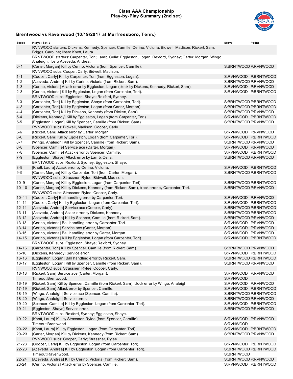### **Class AAA Championship Play-by-Play Summary (2nd set)**



| Score     | Plays: Set 2                                                                                                                                      | <b>Serve</b>         | Point                 |
|-----------|---------------------------------------------------------------------------------------------------------------------------------------------------|----------------------|-----------------------|
|           | RVNWOOD starters: Dickens, Kennedy; Spencer, Camille; Cerino, Victoria; Bidwell, Madison; Rickert, Sam;<br>Briggs, Caroline; libero Knott, Laura. |                      |                       |
|           | BRNTWOOD starters: Carpenter, Tori; Lamb, Celia; Eggleston, Logan; Rexford, Sydney; Carter, Morgan; Wingo,<br>Analeigh; libero Aceveda, Andrea.   |                      |                       |
| $0 - 1$   | [Carter, Morgan] Kill by Cerino, Victoria (from Spencer, Camille).                                                                                | S:BRNTWOOD P:RVNWOOD |                       |
|           | RVNWOOD subs: Cooper, Carly; Bidwell, Madison.                                                                                                    |                      |                       |
| $1 - 1$   | [Cooper, Carly] Kill by Carpenter, Tori (from Eggleston, Logan).                                                                                  |                      | S:RVNWOOD P.BRNTWOOD  |
| $1 - 2$   | [Aceveda, Andrea] Kill by Cerino, Victoria (from Rickert, Sam).                                                                                   |                      | S:BRNTWOOD P:RVNWOOD  |
| $1 - 3$   | [Cerino, Victoria] Attack error by Eggleston, Logan (block by Dickens, Kennedy; Rickert, Sam).                                                    |                      | S:RVNWOOD P:RVNWOOD   |
| $2 - 3$   | [Cerino, Victoria] Kill by Eggleston, Logan (from Carpenter, Tori).                                                                               |                      | S:RVNWOOD P:BRNTWOOD  |
|           | BRNTWOOD subs: Eggleston, Shaye; Rexford, Sydney.                                                                                                 |                      |                       |
| $3 - 3$   | [Carpenter, Tori] Kill by Eggleston, Shaye (from Carpenter, Tori).                                                                                |                      | S:BRNTWOOD P:BRNTWOOD |
| $4 - 3$   | [Carpenter, Tori] Kill by Eggleston, Logan (from Carter, Morgan).                                                                                 |                      | S:BRNTWOOD P:BRNTWOOD |
| 4-4       | [Carpenter, Tori] Kill by Dickens, Kennedy (from Rickert, Sam).                                                                                   |                      | S:BRNTWOOD P:RVNWOOD  |
| $5 - 4$   | [Dickens, Kennedy] Kill by Eggleston, Logan (from Carpenter, Tori).                                                                               |                      | S:RVNWOOD P.BRNTWOOD  |
| 5-5       | [Eggleston, Logan] Kill by Spencer, Camille (from Rickert, Sam).                                                                                  |                      | S:BRNTWOOD P:RVNWOOD  |
| 5-6       | RVNWOOD subs: Bidwell, Madison; Cooper, Carly.<br>[Rickert, Sam] Attack error by Carter, Morgan.                                                  |                      | S:RVNWOOD P:RVNWOOD   |
| $6 - 6$   | [Rickert, Sam] Kill by Eggleston, Logan (from Carpenter, Tori).                                                                                   |                      | S:RVNWOOD P.BRNTWOOD  |
| 6-7       | [Wingo, Analeigh] Kill by Spencer, Camille (from Rickert, Sam).                                                                                   |                      | S:BRNTWOOD P:RVNWOOD  |
| $6 - 8$   | [Spencer, Camille] Service ace (Carter, Morgan).                                                                                                  |                      | S:RVNWOOD P:RVNWOOD   |
| $7 - 8$   | [Spencer, Camille] Attack error by Spencer, Camille.                                                                                              |                      | S:RVNWOOD P:BRNTWOOD  |
| $7 - 9$   | [Eggleston, Shaye] Attack error by Lamb, Celia.                                                                                                   |                      | S:BRNTWOOD P:RVNWOOD  |
|           | BRNTWOOD subs: Rexford, Sydney; Eggleston, Shaye.                                                                                                 |                      |                       |
| $8 - 9$   | [Knott, Laura] Attack error by Cerino, Victoria.                                                                                                  |                      | S:RVNWOOD P:BRNTWOOD  |
| $9 - 9$   | [Carter, Morgan] Kill by Carpenter, Tori (from Carter, Morgan).                                                                                   |                      | S:BRNTWOOD P:BRNTWOOD |
|           | RVNWOOD subs: Strassner, Rylee; Bidwell, Madison.                                                                                                 |                      |                       |
| $10 - 9$  | [Carter, Morgan] Kill by Eggleston, Logan (from Carpenter, Tori).                                                                                 |                      | S:BRNTWOOD P:BRNTWOOD |
| $10 - 10$ | [Carter, Morgan] Kill by Dickens, Kennedy (from Rickert, Sam), block error by Carpenter, Tori.                                                    |                      | S:BRNTWOOD P:RVNWOOD  |
|           | RVNWOOD subs: Strassner, Rylee; Cooper, Carly.                                                                                                    |                      |                       |
| $10 - 11$ | [Cooper, Carly] Ball handling error by Carpenter, Tori.                                                                                           |                      | S:RVNWOOD P:RVNWOOD   |
| $11 - 11$ | [Cooper, Carly] Kill by Eggleston, Logan (from Carpenter, Tori).                                                                                  |                      | S:RVNWOOD P.BRNTWOOD  |
| $12 - 11$ | [Aceveda, Andrea] Service ace (Cooper, Carly).                                                                                                    |                      | S:BRNTWOOD P.BRNTWOOD |
| $13 - 11$ | [Aceveda, Andrea] Attack error by Dickens, Kennedy.                                                                                               |                      | S:BRNTWOOD P:BRNTWOOD |
| $13 - 12$ | [Aceveda, Andrea] Kill by Spencer, Camille (from Rickert, Sam).                                                                                   |                      | S:BRNTWOOD P:RVNWOOD  |
| $13 - 13$ | [Cerino, Victoria] Ball handling error by Carpenter, Tori.                                                                                        | S:RVNWOOD P:RVNWOOD  |                       |
| $13 - 14$ | [Cerino, Victoria] Service ace (Carter, Morgan).                                                                                                  |                      | S:RVNWOOD P:RVNWOOD   |
| $13 - 15$ | [Cerino, Victoria] Ball handling error by Carter, Morgan.                                                                                         |                      | S:RVNWOOD P:RVNWOOD   |
| $14 - 15$ | [Cerino, Victoria] Kill by Eggleston, Logan (from Carpenter, Tori).                                                                               |                      | S:RVNWOOD P:BRNTWOOD  |
| $14 - 16$ | BRNTWOOD subs: Eggleston, Shaye; Rexford, Sydney.                                                                                                 |                      | S:BRNTWOOD P:RVNWOOD  |
| 15-16     | [Carpenter, Tori] Kill by Spencer, Camille (from Rickert, Sam).<br>[Dickens, Kennedy] Service error.                                              |                      | S:RVNWOOD P:BRNTWOOD  |
| $16 - 16$ | [Eggleston, Logan] Ball handling error by Rickert, Sam.                                                                                           |                      | S:BRNTWOOD P:BRNTWOOD |
| $16 - 17$ | [Eggleston, Logan] Kill by Spencer, Camille (from Rickert, Sam).                                                                                  | S:BRNTWOOD P:RVNWOOD |                       |
|           | RVNWOOD subs: Strassner, Rylee; Cooper, Carly.                                                                                                    |                      |                       |
| $16 - 18$ | [Rickert, Sam] Service ace (Carter, Morgan).                                                                                                      | S:RVNWOOD P:RVNWOOD  |                       |
|           | Timeout Brentwood.                                                                                                                                | S:RVNWOOD            |                       |
| $16 - 19$ | [Rickert, Sam] Kill by Spencer, Camille (from Rickert, Sam), block error by Wingo, Analeigh.                                                      |                      | S:RVNWOOD P:RVNWOOD   |
| $17 - 19$ | [Rickert, Sam] Attack error by Spencer, Camille.                                                                                                  |                      | S:RVNWOOD P:BRNTWOOD  |
| $18 - 19$ | [Wingo, Analeigh] Service ace (Spencer, Camille).                                                                                                 |                      | S:BRNTWOOD P.BRNTWOOD |
| 18-20     | [Wingo, Analeigh] Service error.                                                                                                                  |                      | S:BRNTWOOD P:RVNWOOD  |
| 19-20     | [Spencer, Camille] Kill by Eggleston, Logan (from Carpenter, Tori).                                                                               |                      | S:RVNWOOD P:BRNTWOOD  |
| 19-21     | [Eqgleston, Shaye] Service error.                                                                                                                 | S:BRNTWOOD P:RVNWOOD |                       |
|           | BRNTWOOD subs: Rexford, Sydney; Eggleston, Shaye.                                                                                                 |                      |                       |
| 19-22     | [Knott, Laura] Kill by Strassner, Rylee (from Spencer, Camille).                                                                                  | S:RVNWOOD P:RVNWOOD  |                       |
|           | Timeout Brentwood.                                                                                                                                | S:RVNWOOD            |                       |
| $20 - 22$ | [Knott, Laura] Kill by Eggleston, Logan (from Carpenter, Tori).                                                                                   |                      | S:RVNWOOD P:BRNTWOOD  |
| $20 - 23$ | [Carter, Morgan] Kill by Dickens, Kennedy (from Rickert, Sam).                                                                                    |                      | S:BRNTWOOD P:RVNWOOD  |
|           | RVNWOOD subs: Cooper, Carly; Strassner, Rylee.                                                                                                    |                      |                       |
| $21 - 23$ | [Cooper, Carly] Kill by Eggleston, Logan (from Carpenter, Tori).                                                                                  |                      | S:RVNWOOD P.BRNTWOOD  |
| 22-23     | [Aceveda, Andrea] Kill by Eggleston, Logan (from Carpenter, Tori).<br>Timeout Ravenwood.                                                          | S:BRNTWOOD           | S:BRNTWOOD P:BRNTWOOD |
| $22 - 24$ | [Aceveda, Andrea] Kill by Cerino, Victoria (from Rickert, Sam).                                                                                   | S:BRNTWOOD P:RVNWOOD |                       |
| 23-24     | [Cerino, Victoria] Attack error by Spencer, Camille.                                                                                              |                      | S:RVNWOOD P:BRNTWOOD  |
|           |                                                                                                                                                   |                      |                       |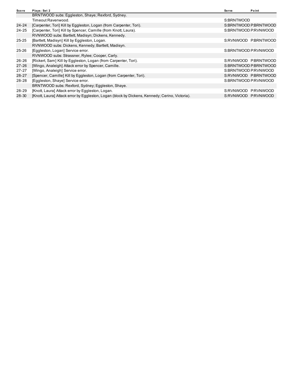| Score     | Plays: Set 2                                                                                   | Serve                | Point                 |
|-----------|------------------------------------------------------------------------------------------------|----------------------|-----------------------|
|           | BRNTWOOD subs: Eggleston, Shaye; Rexford, Sydney.                                              |                      |                       |
|           | Timeout Ravenwood.                                                                             | S:BRNTWOOD           |                       |
| 24-24     | [Carpenter, Tori] Kill by Eggleston, Logan (from Carpenter, Tori).                             |                      | S:BRNTWOOD P:BRNTWOOD |
| $24 - 25$ | [Carpenter, Tori] Kill by Spencer, Camille (from Knott, Laura).                                | S:BRNTWOOD P:RVNWOOD |                       |
|           | RVNWOOD subs: Bartlett, Madisyn; Dickens, Kennedy.                                             |                      |                       |
| 25-25     | [Bartlett, Madisyn] Kill by Eggleston, Logan.                                                  |                      | S:RVNWOOD PBRNTWOOD   |
|           | RVNWOOD subs: Dickens, Kennedy; Bartlett, Madisyn.                                             |                      |                       |
| 25-26     | [Eggleston, Logan] Service error.                                                              | S:BRNTWOOD P:RVNWOOD |                       |
|           | RVNWOOD subs: Strassner, Rylee; Cooper, Carly.                                                 |                      |                       |
| 26-26     | [Rickert, Sam] Kill by Eggleston, Logan (from Carpenter, Tori).                                |                      | S:RVNWOOD P.BRNTWOOD  |
| $27 - 26$ | [Wingo, Analeigh] Attack error by Spencer, Camille.                                            |                      | S:BRNTWOOD P.BRNTWOOD |
| $27 - 27$ | [Wingo, Analeigh] Service error.                                                               | S:BRNTWOOD P:RVNWOOD |                       |
| $28 - 27$ | [Spencer, Camille] Kill by Eggleston, Logan (from Carpenter, Tori).                            |                      | S:RVNWOOD P.BRNTWOOD  |
| 28-28     | [Eggleston, Shaye] Service error.                                                              | S:BRNTWOOD P:RVNWOOD |                       |
|           | BRNTWOOD subs: Rexford, Sydney; Eggleston, Shaye.                                              |                      |                       |
| 28-29     | [Knott, Laura] Attack error by Eggleston, Logan.                                               | S:RVNWOOD            | P:RVNWOOD             |
| 28-30     | [Knott, Laura] Attack error by Eggleston, Logan (block by Dickens, Kennedy; Cerino, Victoria). | S:RVNWOOD P:RVNWOOD  |                       |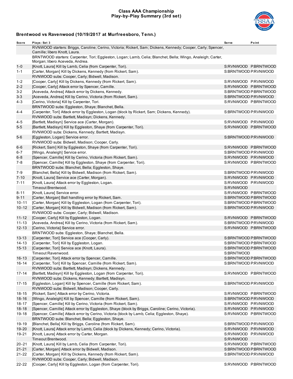### **Class AAA Championship Play-by-Play Summary (3rd set)**



| Score                 | Plays: Set 3                                                                                                                                        | <b>Serve</b>         | Point                                        |
|-----------------------|-----------------------------------------------------------------------------------------------------------------------------------------------------|----------------------|----------------------------------------------|
|                       | RVNWOOD starters: Briggs, Caroline; Cerino, Victoria; Rickert, Sam; Dickens, Kennedy; Cooper, Carly; Spencer,<br>Camille; libero Knott, Laura.      |                      |                                              |
|                       | BRNTWOOD starters: Carpenter, Tori; Eggleston, Logan; Lamb, Celia; Blanchet, Bella; Wingo, Analeigh; Carter,<br>Morgan; libero Aceveda, Andrea.     |                      |                                              |
| $1 - 0$               | [Knott, Laura] Kill by Lamb, Celia (from Carpenter, Tori).                                                                                          |                      | S:RVNWOOD P:BRNTWOOD                         |
| 1-1                   | [Carter, Morgan] Kill by Dickens, Kennedy (from Rickert, Sam).                                                                                      | S:BRNTWOOD P:RVNWOOD |                                              |
|                       | RVNWOOD subs: Cooper, Carly; Bidwell, Madison.                                                                                                      |                      |                                              |
| $1 - 2$               | [Cooper, Carly] Kill by Dickens, Kennedy (from Rickert, Sam).                                                                                       | S:RVNWOOD P:RVNWOOD  |                                              |
| $2 - 2$               | [Cooper, Carly] Attack error by Spencer, Camille.                                                                                                   |                      | S:RVNWOOD P:BRNTWOOD                         |
| $3 - 2$               | [Aceveda, Andrea] Attack error by Dickens, Kennedy.                                                                                                 |                      | S:BRNTWOOD P:BRNTWOOD                        |
| $3 - 3$               | [Aceveda, Andrea] Kill by Cerino, Victoria (from Rickert, Sam).                                                                                     | S:BRNTWOOD P:RVNWOOD |                                              |
| $4 - 3$               | [Cerino, Victoria] Kill by Carpenter, Tori.                                                                                                         |                      | S:RVNWOOD P:BRNTWOOD                         |
|                       | BRNTWOOD subs: Eggleston, Shaye; Blanchet, Bella.                                                                                                   |                      |                                              |
| 4-4                   | [Carpenter, Tori] Attack error by Eggleston, Logan (block by Rickert, Sam; Dickens, Kennedy).<br>RVNWOOD subs: Bartlett, Madisyn; Dickens, Kennedy. | S:BRNTWOOD P:RVNWOOD |                                              |
| 4-5                   | [Bartlett, Madisyn] Service ace (Carter, Morgan).                                                                                                   | S:RVNWOOD P:RVNWOOD  |                                              |
| $5-5$                 | [Bartlett, Madisyn] Kill by Eggleston, Shaye (from Carpenter, Tori).                                                                                |                      | S:RVNWOOD P:BRNTWOOD                         |
|                       | RVNWOOD subs: Dickens, Kennedy; Bartlett, Madisyn.                                                                                                  |                      |                                              |
| $5-6$                 | [Eggleston, Logan] Service error.                                                                                                                   | S:BRNTWOOD P:RVNWOOD |                                              |
|                       | RVNWOOD subs: Bidwell, Madison; Cooper, Carly.                                                                                                      |                      |                                              |
| 6-6                   | [Rickert, Sam] Kill by Eggleston, Shaye (from Carpenter, Tori).                                                                                     |                      | S:RVNWOOD PBRNTWOOD                          |
| 6-7                   | [Wingo, Analeigh] Service error.                                                                                                                    | S:BRNTWOOD P:RVNWOOD |                                              |
| $6 - 8$               | [Spencer, Camille] Kill by Cerino, Victoria (from Rickert, Sam).                                                                                    | S:RVNWOOD P:RVNWOOD  |                                              |
| 7-8                   | [Spencer, Camille] Kill by Eggleston, Shaye (from Carpenter, Tori).                                                                                 |                      | S:RVNWOOD P:BRNTWOOD                         |
|                       | BRNTWOOD subs: Blanchet, Bella; Eggleston, Shaye.                                                                                                   |                      |                                              |
| 7-9                   | [Blanchet, Bella] Kill by Bidwell, Madison (from Rickert, Sam).                                                                                     | S:BRNTWOOD P:RVNWOOD |                                              |
| $7 - 10$              | [Knott, Laura] Service ace (Carter, Morgan).                                                                                                        | S:RVNWOOD P:RVNWOOD  |                                              |
| $7 - 11$              | [Knott, Laura] Attack error by Eggleston, Logan.                                                                                                    | S:RVNWOOD P:RVNWOOD  |                                              |
|                       | Timeout Brentwood.                                                                                                                                  | S:RVNWOOD            |                                              |
| 8-11                  | [Knott, Laura] Service error.                                                                                                                       |                      | S:RVNWOOD PBRNTWOOD<br>S:BRNTWOOD P.BRNTWOOD |
| $9 - 11$<br>$10 - 11$ | [Carter, Morgan] Ball handling error by Rickert, Sam.<br>[Carter, Morgan] Kill by Eggleston, Logan (from Carpenter, Tori).                          |                      | S:BRNTWOOD P:BRNTWOOD                        |
| $10 - 12$             | [Carter, Morgan] Kill by Bidwell, Madison (from Rickert, Sam).                                                                                      | S:BRNTWOOD P:RVNWOOD |                                              |
|                       | RVNWOOD subs: Cooper, Carly; Bidwell, Madison.                                                                                                      |                      |                                              |
| 11-12                 | [Cooper, Carly] Kill by Eggleston, Logan.                                                                                                           |                      | S:RVNWOOD P:BRNTWOOD                         |
| $11 - 13$             | [Aceveda, Andrea] Kill by Cerino, Victoria (from Rickert, Sam).                                                                                     | S:BRNTWOOD P:RVNWOOD |                                              |
| $12 - 13$             | [Cerino, Victoria] Service error.                                                                                                                   |                      | S:RVNWOOD P:BRNTWOOD                         |
|                       | BRNTWOOD subs: Eggleston, Shaye; Blanchet, Bella.                                                                                                   |                      |                                              |
| $13 - 13$             | [Carpenter, Tori] Service ace (Cooper, Carly).                                                                                                      |                      | S:BRNTWOOD P:BRNTWOOD                        |
| $14 - 13$             | [Carpenter, Tori] Kill by Eggleston, Logan.                                                                                                         |                      | S:BRNTWOOD P:BRNTWOOD                        |
| $15 - 13$             | [Carpenter, Tori] Service ace (Knott, Laura).                                                                                                       |                      | S:BRNTWOOD P:BRNTWOOD                        |
|                       | Timeout Ravenwood.                                                                                                                                  | S:BRNTWOOD           |                                              |
| $16 - 13$             | [Carpenter, Tori] Attack error by Spencer, Camille.                                                                                                 |                      | S:BRNTWOOD P:BRNTWOOD                        |
| $16 - 14$             | [Carpenter, Tori] Kill by Spencer, Camille (from Rickert, Sam).                                                                                     | S:BRNTWOOD P:RVNWOOD |                                              |
|                       | RVNWOOD subs: Bartlett, Madisyn; Dickens, Kennedy.                                                                                                  |                      |                                              |
| $17 - 14$             | [Bartlett, Madisyn] Kill by Eggleston, Logan (from Carpenter, Tori).                                                                                |                      | S:RVNWOOD P.BRNTWOOD                         |
|                       | RVNWOOD subs: Dickens, Kennedy; Bartlett, Madisyn.                                                                                                  |                      |                                              |
| $17 - 15$             | [Eggleston, Logan] Kill by Spencer, Camille (from Rickert, Sam).                                                                                    | S:BRNTWOOD P:RVNWOOD |                                              |
|                       | RVNWOOD subs: Bidwell, Madison; Cooper, Carly.                                                                                                      |                      |                                              |
| 18-15                 | [Rickert, Sam] Attack error by Cerino, Victoria.                                                                                                    |                      | S:RVNWOOD P:BRNTWOOD                         |
| $18 - 16$             | [Wingo, Analeigh] Kill by Spencer, Camille (from Rickert, Sam).                                                                                     | S:BRNTWOOD P:RVNWOOD |                                              |
| $18 - 17$             | [Spencer, Camille] Kill by Cerino, Victoria (from Rickert, Sam).                                                                                    | S:RVNWOOD P:RVNWOOD  |                                              |
| $18 - 18$             | [Spencer, Camille] Attack error by Eggleston, Shaye (block by Briggs, Caroline; Cerino, Victoria).                                                  | S:RVNWOOD P:RVNWOOD  |                                              |
| $19 - 18$             | [Spencer, Camille] Attack error by Cerino, Victoria (block by Lamb, Celia; Eggleston, Shaye).<br>BRNTWOOD subs: Blanchet, Bella; Eggleston, Shaye.  |                      | S:RVNWOOD P:BRNTWOOD                         |
| 19-19                 | [Blanchet, Bella] Kill by Briggs, Caroline (from Rickert, Sam).                                                                                     | S:BRNTWOOD P:RVNWOOD |                                              |
| 19-20                 | [Knott, Laura] Attack error by Lamb, Celia (block by Dickens, Kennedy; Cerino, Victoria).                                                           | S:RVNWOOD P:RVNWOOD  |                                              |
| 19-21                 | [Knott, Laura] Attack error by Carter, Morgan.                                                                                                      | S:RVNWOOD P:RVNWOOD  |                                              |
|                       | Timeout Brentwood.                                                                                                                                  | S:RVNWOOD            |                                              |
| $20 - 21$             | [Knott, Laura] Kill by Lamb, Celia (from Carpenter, Tori).                                                                                          |                      | S:RVNWOOD P:BRNTWOOD                         |
| $21 - 21$             | [Carter, Morgan] Attack error by Bidwell, Madison.                                                                                                  |                      | S:BRNTWOOD P:BRNTWOOD                        |
| $21 - 22$             | [Carter, Morgan] Kill by Dickens, Kennedy (from Rickert, Sam).                                                                                      | S:BRNTWOOD P:RVNWOOD |                                              |
|                       | RVNWOOD subs: Cooper, Carly; Bidwell, Madison.                                                                                                      |                      |                                              |
| 22-22                 | [Cooper, Carly] Kill by Eggleston, Logan (from Carpenter, Tori).                                                                                    |                      | S:RVNWOOD P:BRNTWOOD                         |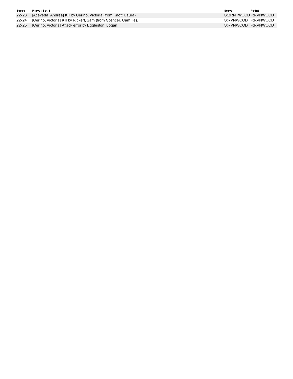| Score | Plays: Set 3                                                           | Serve                | Point |
|-------|------------------------------------------------------------------------|----------------------|-------|
|       | 22-23 [Aceveda, Andrea] Kill by Cerino, Victoria (from Knott, Laura).  | S:BRNTWOOD P:RVNWOOD |       |
|       | 22-24 [Cerino, Victoria] Kill by Rickert, Sam (from Spencer, Camille). | S:RVNWOOD P:RVNWOOD  |       |
|       | 22-25 [Cerino, Victoria] Attack error by Eggleston, Logan.             | S:RVNWOOD P:RVNWOOD  |       |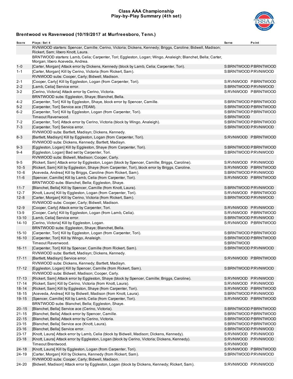### **Class AAA Championship Play-by-Play Summary (4th set)**



| Score                  | Plays: Set 4                                                                                                                                      | <b>Serve</b>                               | Point                 |
|------------------------|---------------------------------------------------------------------------------------------------------------------------------------------------|--------------------------------------------|-----------------------|
|                        | RVNWOOD starters: Spencer, Camille; Cerino, Victoria; Dickens, Kennedy; Briggs, Caroline; Bidwell, Madison;<br>Rickert, Sam; libero Knott, Laura. |                                            |                       |
|                        | BRNTWOOD starters: Lamb, Celia; Carpenter, Tori; Eggleston, Logan; Wingo, Analeigh; Blanchet, Bella; Carter,<br>Morgan; libero Aceveda, Andrea.   |                                            |                       |
| $1 - 0$                | [Carter, Morgan] Attack error by Dickens, Kennedy (block by Lamb, Celia; Carpenter, Tori).                                                        |                                            | S:BRNTWOOD P:BRNTWOOD |
| $1 - 1$                | [Carter, Morgan] Kill by Cerino, Victoria (from Rickert, Sam).<br>RVNWOOD subs: Cooper, Carly; Bidwell, Madison.                                  | S:BRNTWOOD P:RVNWOOD                       |                       |
| 2-1                    | [Cooper, Carly] Kill by Eggleston, Logan (from Carpenter, Tori).                                                                                  |                                            | S:RVNWOOD P.BRNTWOOD  |
| $2 - 2$                | [Lamb, Celia] Service error.                                                                                                                      | S:BRNTWOOD P:RVNWOOD                       |                       |
| $3 - 2$                | [Cerino, Victoria] Attack error by Cerino, Victoria.                                                                                              |                                            | S:RVNWOOD P:BRNTWOOD  |
|                        | BRNTWOOD subs: Eggleston, Shaye; Blanchet, Bella.                                                                                                 |                                            |                       |
| $4 - 2$                | [Carpenter, Tori] Kill by Eggleston, Shaye, block error by Spencer, Camille.                                                                      |                                            | S:BRNTWOOD P:BRNTWOOD |
| $5-2$                  | [Carpenter, Tori] Service ace (TEAM).                                                                                                             |                                            | S:BRNTWOOD P:BRNTWOOD |
| $6 - 2$                | [Carpenter, Tori] Kill by Eggleston, Logan (from Carpenter, Tori).                                                                                |                                            | S:BRNTWOOD P:BRNTWOOD |
|                        | Timeout Ravenwood.                                                                                                                                | S:BRNTWOOD                                 |                       |
| $7 - 2$                | [Carpenter, Tori] Attack error by Cerino, Victoria (block by Wingo, Analeigh).                                                                    |                                            | S:BRNTWOOD P:BRNTWOOD |
| $7 - 3$                | [Carpenter, Tori] Service error.                                                                                                                  | S:BRNTWOOD P:RVNWOOD                       |                       |
|                        | RVNWOOD subs: Bartlett, Madisyn; Dickens, Kennedy.                                                                                                |                                            |                       |
| $8 - 3$                | [Bartlett, Madisyn] Kill by Eggleston, Logan (from Carpenter, Tori).                                                                              |                                            | S:RVNWOOD P:BRNTWOOD  |
|                        | RVNWOOD subs: Dickens, Kennedy; Bartlett, Madisyn.                                                                                                |                                            |                       |
| $9 - 3$                | [Eggleston, Logan] Kill by Eggleston, Shaye (from Carpenter, Tori).                                                                               |                                            | S:BRNTWOOD P:BRNTWOOD |
| 9-4                    | [Eggleston, Logan] Bad set by Carpenter, Tori.                                                                                                    | S:BRNTWOOD P:RVNWOOD                       |                       |
|                        | RVNWOOD subs: Bidwell, Madison; Cooper, Carly.                                                                                                    |                                            |                       |
| $9 - 5$                | [Rickert, Sam] Attack error by Eggleston, Logan (block by Spencer, Camille; Briggs, Caroline).                                                    | S:RVNWOOD P:RVNWOOD                        |                       |
| $10 - 5$               | [Rickert, Sam] Kill by Eggleston, Shaye (from Carpenter, Tori), block error by Briggs, Caroline.                                                  |                                            | S:RVNWOOD P:BRNTWOOD  |
| $10 - 6$               | [Aceveda, Andrea] Kill by Briggs, Caroline (from Rickert, Sam).                                                                                   | S:BRNTWOOD P:RVNWOOD                       |                       |
| $11 - 6$               | [Spencer, Camille] Kill by Lamb, Celia (from Carpenter, Tori).                                                                                    |                                            | S:RVNWOOD P:BRNTWOOD  |
|                        | BRNTWOOD subs: Blanchet, Bella; Eggleston, Shaye.                                                                                                 |                                            |                       |
| $11 - 7$               | [Blanchet, Bella] Kill by Spencer, Camille (from Knott, Laura).                                                                                   | S:BRNTWOOD P:RVNWOOD                       |                       |
| $12 - 7$               | [Knott, Laura] Kill by Eggleston, Logan (from Carpenter, Tori).                                                                                   |                                            | S:RVNWOOD P:BRNTWOOD  |
| $12 - 8$               | [Carter, Morgan] Kill by Cerino, Victoria (from Rickert, Sam).                                                                                    | S:BRNTWOOD P:RVNWOOD                       |                       |
|                        | RVNWOOD subs: Cooper, Carly; Bidwell, Madison.                                                                                                    |                                            |                       |
| $12-9$                 | [Cooper, Carly] Attack error by Carpenter, Tori.                                                                                                  | S:RVNWOOD P:RVNWOOD                        |                       |
| $13-9$                 | [Cooper, Carly] Kill by Eggleston, Logan (from Lamb, Celia).                                                                                      |                                            | S:RVNWOOD P:BRNTWOOD  |
| $13 - 10$              | [Lamb, Celia] Service error.                                                                                                                      | S:BRNTWOOD P:RVNWOOD                       |                       |
| $14 - 10$              | [Cerino, Victoria] Kill by Eggleston, Logan.                                                                                                      |                                            | S:RVNWOOD P:BRNTWOOD  |
|                        | BRNTWOOD subs: Eggleston, Shaye; Blanchet, Bella.                                                                                                 |                                            |                       |
| $15 - 10$              | [Carpenter, Tori] Kill by Eggleston, Logan (from Carpenter, Tori).                                                                                |                                            | S:BRNTWOOD P:BRNTWOOD |
| $16 - 10$              | [Carpenter, Tori] Kill by Wingo, Analeigh.                                                                                                        |                                            | S:BRNTWOOD P:BRNTWOOD |
|                        | Timeout Ravenwood.                                                                                                                                | S:BRNTWOOD                                 |                       |
| $16 - 11$              | [Carpenter, Tori] Kill by Spencer, Camille (from Rickert, Sam).                                                                                   | S:BRNTWOOD P:RVNWOOD                       |                       |
|                        | RVNWOOD subs: Bartlett, Madisyn; Dickens, Kennedy.                                                                                                |                                            |                       |
| $17 - 11$              | [Bartlett, Madisyn] Service error.                                                                                                                |                                            | S:RVNWOOD P.BRNTWOOD  |
|                        | RVNWOOD subs: Dickens, Kennedy; Bartlett, Madisyn.                                                                                                |                                            |                       |
| $17 - 12$              | [Eggleston, Logan] Kill by Spencer, Camille (from Rickert, Sam).                                                                                  | S:BRNTWOOD P:RVNWOOD                       |                       |
|                        | RVNWOOD subs: Bidwell, Madison; Cooper, Carly.                                                                                                    |                                            |                       |
| $17 - 13$              | [Rickert, Sam] Attack error by Eggleston, Shaye (block by Spencer, Camille; Briggs, Caroline).                                                    | S:RVNWOOD P:RVNWOOD                        |                       |
| $17 - 14$              | [Rickert, Sam] Kill by Cerino, Victoria (from Knott, Laura).                                                                                      | S:RVNWOOD P:RVNWOOD                        |                       |
| $18 - 14$              | [Rickert, Sam] Kill by Eggleston, Shaye (from Carpenter, Tori).                                                                                   |                                            | S:RVNWOOD P:BRNTWOOD  |
| $18 - 15$              | [Aceveda, Andrea] Kill by Bidwell, Madison (from Knott, Laura).                                                                                   | S:BRNTWOOD P:RVNWOOD                       |                       |
| $19 - 15$              | [Spencer, Camille] Kill by Lamb, Celia (from Carpenter, Tori).                                                                                    |                                            | S:RVNWOOD P.BRNTWOOD  |
|                        | BRNTWOOD subs: Blanchet, Bella; Eggleston, Shaye.                                                                                                 |                                            |                       |
| $20 - 15$              | [Blanchet, Bella] Service ace (Cerino, Victoria).                                                                                                 |                                            | S:BRNTWOOD P:BRNTWOOD |
| $21 - 15$              | [Blanchet, Bella] Attack error by Spencer, Camille.                                                                                               |                                            | S:BRNTWOOD P:BRNTWOOD |
| $22 - 15$<br>$23 - 15$ | [Blanchet, Bella] Attack error by Cerino, Victoria.                                                                                               |                                            | S:BRNTWOOD P:BRNTWOOD |
|                        | [Blanchet, Bella] Service ace (Knott, Laura).                                                                                                     |                                            | S:BRNTWOOD P:BRNTWOOD |
| $23 - 16$              | [Blanchet, Bella] Service error.                                                                                                                  | S:BRNTWOOD P:RVNWOOD                       |                       |
| 23-17<br>$23 - 18$     | [Knott, Laura] Attack error by Lamb, Celia (block by Bidwell, Madison; Dickens, Kennedy).                                                         | S:RVNWOOD P:RVNWOOD<br>S:RVNWOOD P:RVNWOOD |                       |
|                        | [Knott, Laura] Attack error by Eggleston, Logan (block by Cerino, Victoria; Dickens, Kennedy).<br>Timeout Brentwood.                              | S:RVNWOOD                                  |                       |
| $24 - 18$              | [Knott, Laura] Kill by Eggleston, Logan (from Carpenter, Tori).                                                                                   |                                            | S:RVNWOOD P.BRNTWOOD  |
| 24-19                  | [Carter, Morgan] Kill by Dickens, Kennedy (from Rickert, Sam).                                                                                    | S:BRNTWOOD P:RVNWOOD                       |                       |
|                        | RVNWOOD subs: Cooper, Carly; Bidwell, Madison.                                                                                                    |                                            |                       |
| 24-20                  | [Bidwell, Madison] Attack error by Eggleston, Logan (block by Dickens, Kennedy; Rickert, Sam).                                                    | S:RVNWOOD P:RVNWOOD                        |                       |
|                        |                                                                                                                                                   |                                            |                       |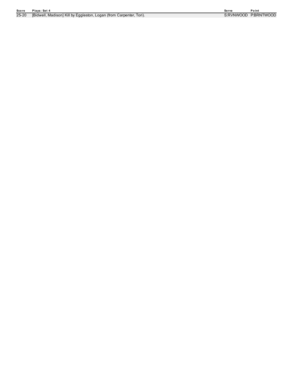### Score Plays: Set 4

25-20 [Bidwell, Madison] Kill by Eggleston, Logan (from Carpenter, Tor